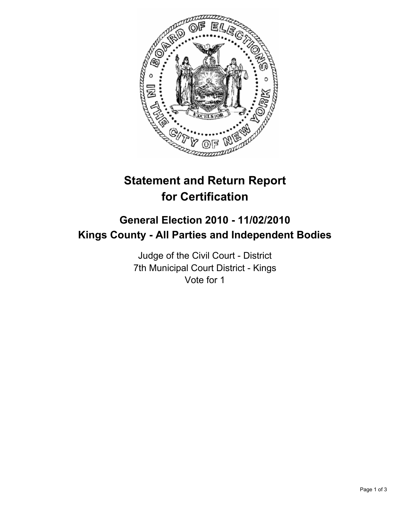

# **Statement and Return Report for Certification**

# **General Election 2010 - 11/02/2010 Kings County - All Parties and Independent Bodies**

Judge of the Civil Court - District 7th Municipal Court District - Kings Vote for 1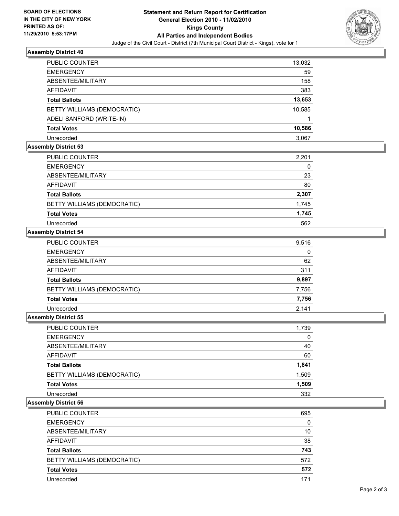

#### **Assembly District 40**

| <b>PUBLIC COUNTER</b>       | 13,032 |
|-----------------------------|--------|
| <b>EMERGENCY</b>            | 59     |
| ABSENTEE/MILITARY           | 158    |
| <b>AFFIDAVIT</b>            | 383    |
| <b>Total Ballots</b>        | 13,653 |
| BETTY WILLIAMS (DEMOCRATIC) | 10,585 |
| ADELI SANFORD (WRITE-IN)    |        |
| <b>Total Votes</b>          | 10,586 |
| Unrecorded                  | 3.067  |

## **Assembly District 53**

| PUBLIC COUNTER              | 2,201 |
|-----------------------------|-------|
| <b>EMERGENCY</b>            | 0     |
| ABSENTEE/MILITARY           | 23    |
| AFFIDAVIT                   | 80    |
| <b>Total Ballots</b>        | 2,307 |
| BETTY WILLIAMS (DEMOCRATIC) | 1,745 |
| <b>Total Votes</b>          | 1,745 |
| Unrecorded                  | 562   |

#### **Assembly District 54**

| <b>PUBLIC COUNTER</b>       | 9.516 |
|-----------------------------|-------|
| <b>EMERGENCY</b>            | 0     |
| ABSENTEE/MILITARY           | 62    |
| <b>AFFIDAVIT</b>            | 311   |
| <b>Total Ballots</b>        | 9,897 |
| BETTY WILLIAMS (DEMOCRATIC) | 7,756 |
| <b>Total Votes</b>          | 7,756 |
| Unrecorded                  | 2,141 |

### **Assembly District 55**

| <b>PUBLIC COUNTER</b>       | 1,739 |
|-----------------------------|-------|
| <b>EMERGENCY</b>            | 0     |
| ABSENTEE/MILITARY           | 40    |
| AFFIDAVIT                   | 60    |
| <b>Total Ballots</b>        | 1,841 |
| BETTY WILLIAMS (DEMOCRATIC) | 1,509 |
| <b>Total Votes</b>          | 1,509 |
| Unrecorded                  | 332   |

### **Assembly District 56**

| <b>PUBLIC COUNTER</b>       | 695 |
|-----------------------------|-----|
| <b>EMERGENCY</b>            | 0   |
| ABSENTEE/MILITARY           | 10  |
| AFFIDAVIT                   | 38  |
| <b>Total Ballots</b>        | 743 |
| BETTY WILLIAMS (DEMOCRATIC) | 572 |
| <b>Total Votes</b>          | 572 |
| Unrecorded                  |     |